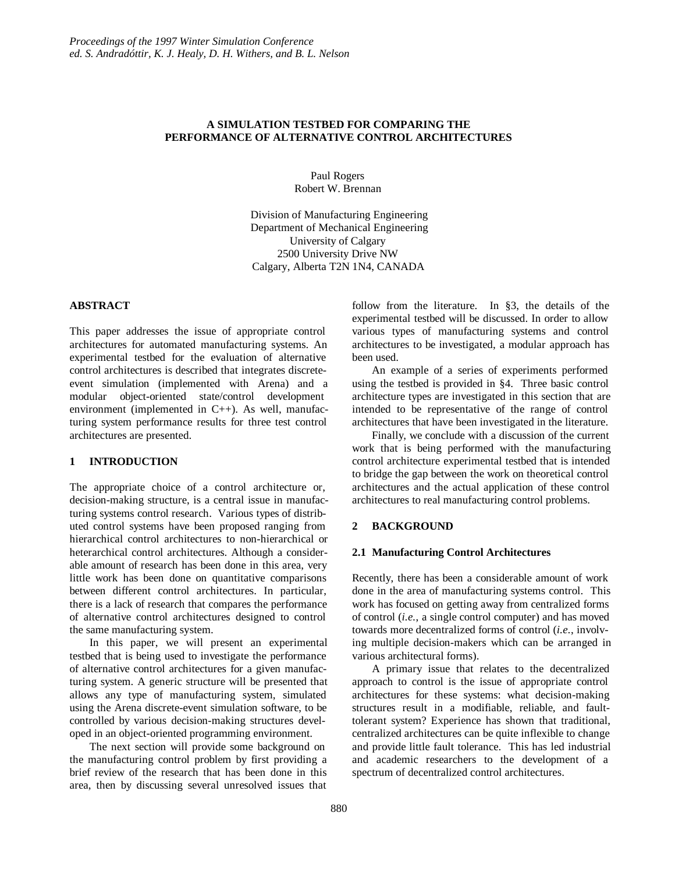# **A SIMULATION TESTBED FOR COMPARING THE PERFORMANCE OF ALTERNATIVE CONTROL ARCHITECTURES**

Paul Rogers Robert W. Brennan

Division of Manufacturing Engineering Department of Mechanical Engineering University of Calgary 2500 University Drive NW Calgary, Alberta T2N 1N4, CANADA

### **ABSTRACT**

This paper addresses the issue of appropriate control architectures for automated manufacturing systems. An experimental testbed for the evaluation of alternative control architectures is described that integrates discreteevent simulation (implemented with Arena) and a modular object-oriented state/control development environment (implemented in C++). As well, manufacturing system performance results for three test control architectures are presented.

# **1 INTRODUCTION**

The appropriate choice of a control architecture or, decision-making structure, is a central issue in manufacturing systems control research. Various types of distributed control systems have been proposed ranging from hierarchical control architectures to non-hierarchical or heterarchical control architectures. Although a considerable amount of research has been done in this area, very little work has been done on quantitative comparisons between different control architectures. In particular, there is a lack of research that compares the performance of alternative control architectures designed to control the same manufacturing system.

In this paper, we will present an experimental testbed that is being used to investigate the performance of alternative control architectures for a given manufacturing system. A generic structure will be presented that allows any type of manufacturing system, simulated using the Arena discrete-event simulation software, to be controlled by various decision-making structures developed in an object-oriented programming environment.

The next section will provide some background on the manufacturing control problem by first providing a brief review of the research that has been done in this area, then by discussing several unresolved issues that

follow from the literature. In §3, the details of the experimental testbed will be discussed. In order to allow various types of manufacturing systems and control architectures to be investigated, a modular approach has been used.

An example of a series of experiments performed using the testbed is provided in §4. Three basic control architecture types are investigated in this section that are intended to be representative of the range of control architectures that have been investigated in the literature.

Finally, we conclude with a discussion of the current work that is being performed with the manufacturing control architecture experimental testbed that is intended to bridge the gap between the work on theoretical control architectures and the actual application of these control architectures to real manufacturing control problems.

#### **2 BACKGROUND**

### **2.1 Manufacturing Control Architectures**

Recently, there has been a considerable amount of work done in the area of manufacturing systems control. This work has focused on getting away from centralized forms of control (*i.e.*, a single control computer) and has moved towards more decentralized forms of control (*i.e.*, involving multiple decision-makers which can be arranged in various architectural forms).

A primary issue that relates to the decentralized approach to control is the issue of appropriate control architectures for these systems: what decision-making structures result in a modifiable, reliable, and faulttolerant system? Experience has shown that traditional, centralized architectures can be quite inflexible to change and provide little fault tolerance. This has led industrial and academic researchers to the development of a spectrum of decentralized control architectures.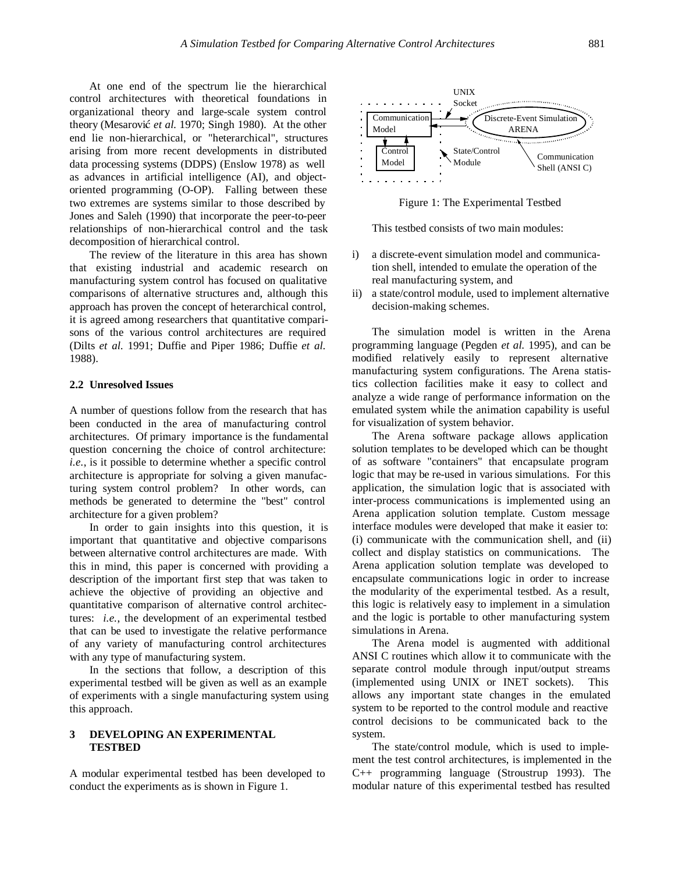At one end of the spectrum lie the hierarchical control architectures with theoretical foundations in organizational theory and large-scale system control theory (Mesarović *et al.* 1970; Singh 1980). At the other end lie non-hierarchical, or "heterarchical", structures arising from more recent developments in distributed data processing systems (DDPS) (Enslow 1978) as well as advances in artificial intelligence (AI), and objectoriented programming (O-OP). Falling between these two extremes are systems similar to those described by Jones and Saleh (1990) that incorporate the peer-to-peer relationships of non-hierarchical control and the task decomposition of hierarchical control.

The review of the literature in this area has shown that existing industrial and academic research on manufacturing system control has focused on qualitative comparisons of alternative structures and, although this approach has proven the concept of heterarchical control, it is agreed among researchers that quantitative comparisons of the various control architectures are required (Dilts *et al.* 1991; Duffie and Piper 1986; Duffie *et al.* 1988).

### **2.2 Unresolved Issues**

A number of questions follow from the research that has been conducted in the area of manufacturing control architectures. Of primary importance is the fundamental question concerning the choice of control architecture: *i.e.*, is it possible to determine whether a specific control architecture is appropriate for solving a given manufacturing system control problem? In other words, can methods be generated to determine the "best" control architecture for a given problem?

In order to gain insights into this question, it is important that quantitative and objective comparisons between alternative control architectures are made. With this in mind, this paper is concerned with providing a description of the important first step that was taken to achieve the objective of providing an objective and quantitative comparison of alternative control architectures: *i.e.*, the development of an experimental testbed that can be used to investigate the relative performance of any variety of manufacturing control architectures with any type of manufacturing system.

In the sections that follow, a description of this experimental testbed will be given as well as an example of experiments with a single manufacturing system using this approach.

# **3 DEVELOPING AN EXPERIMENTAL TESTBED**

A modular experimental testbed has been developed to conduct the experiments as is shown in Figure 1.



Figure 1: The Experimental Testbed

This testbed consists of two main modules:

- i) a discrete-event simulation model and communication shell, intended to emulate the operation of the real manufacturing system, and
- ii) a state/control module, used to implement alternative decision-making schemes.

The simulation model is written in the Arena programming language (Pegden *et al.* 1995), and can be modified relatively easily to represent alternative manufacturing system configurations. The Arena statistics collection facilities make it easy to collect and analyze a wide range of performance information on the emulated system while the animation capability is useful for visualization of system behavior.

The Arena software package allows application solution templates to be developed which can be thought of as software "containers" that encapsulate program logic that may be re-used in various simulations. For this application, the simulation logic that is associated with inter-process communications is implemented using an Arena application solution template. Custom message interface modules were developed that make it easier to: (i) communicate with the communication shell, and (ii) collect and display statistics on communications. The Arena application solution template was developed to encapsulate communications logic in order to increase the modularity of the experimental testbed. As a result, this logic is relatively easy to implement in a simulation and the logic is portable to other manufacturing system simulations in Arena.

The Arena model is augmented with additional ANSI C routines which allow it to communicate with the separate control module through input/output streams (implemented using UNIX or INET sockets). This allows any important state changes in the emulated system to be reported to the control module and reactive control decisions to be communicated back to the system.

The state/control module, which is used to implement the test control architectures, is implemented in the C++ programming language (Stroustrup 1993). The modular nature of this experimental testbed has resulted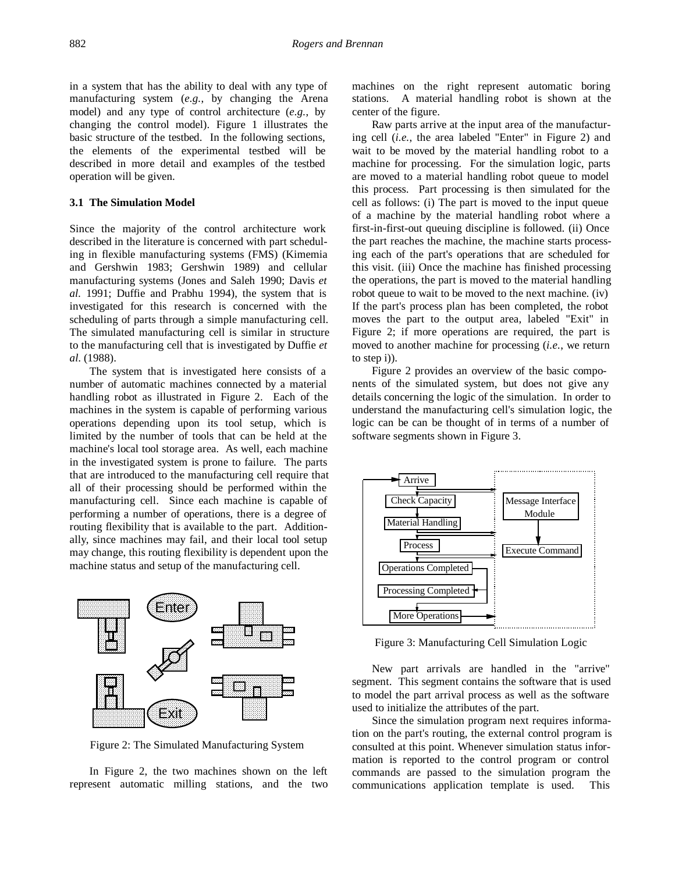in a system that has the ability to deal with any type of manufacturing system (*e.g.*, by changing the Arena model) and any type of control architecture (*e.g.*, by changing the control model). Figure 1 illustrates the basic structure of the testbed. In the following sections, the elements of the experimental testbed will be described in more detail and examples of the testbed operation will be given.

#### **3.1 The Simulation Model**

Since the majority of the control architecture work described in the literature is concerned with part scheduling in flexible manufacturing systems (FMS) (Kimemia and Gershwin 1983; Gershwin 1989) and cellular manufacturing systems (Jones and Saleh 1990; Davis *et al.* 1991; Duffie and Prabhu 1994), the system that is investigated for this research is concerned with the scheduling of parts through a simple manufacturing cell. The simulated manufacturing cell is similar in structure to the manufacturing cell that is investigated by Duffie *et al.* (1988).

The system that is investigated here consists of a number of automatic machines connected by a material handling robot as illustrated in Figure 2. Each of the machines in the system is capable of performing various operations depending upon its tool setup, which is limited by the number of tools that can be held at the machine's local tool storage area. As well, each machine in the investigated system is prone to failure. The parts that are introduced to the manufacturing cell require that all of their processing should be performed within the manufacturing cell. Since each machine is capable of performing a number of operations, there is a degree of routing flexibility that is available to the part. Additionally, since machines may fail, and their local tool setup may change, this routing flexibility is dependent upon the machine status and setup of the manufacturing cell.



Figure 2: The Simulated Manufacturing System

In Figure 2, the two machines shown on the left represent automatic milling stations, and the two machines on the right represent automatic boring stations. A material handling robot is shown at the center of the figure.

Raw parts arrive at the input area of the manufacturing cell (*i.e.*, the area labeled "Enter" in Figure 2) and wait to be moved by the material handling robot to a machine for processing. For the simulation logic, parts are moved to a material handling robot queue to model this process. Part processing is then simulated for the cell as follows: (i) The part is moved to the input queue of a machine by the material handling robot where a first-in-first-out queuing discipline is followed. (ii) Once the part reaches the machine, the machine starts processing each of the part's operations that are scheduled for this visit. (iii) Once the machine has finished processing the operations, the part is moved to the material handling robot queue to wait to be moved to the next machine. (iv) If the part's process plan has been completed, the robot moves the part to the output area, labeled "Exit" in Figure 2; if more operations are required, the part is moved to another machine for processing (*i.e.*, we return to step i)).

Figure 2 provides an overview of the basic components of the simulated system, but does not give any details concerning the logic of the simulation. In order to understand the manufacturing cell's simulation logic, the logic can be can be thought of in terms of a number of software segments shown in Figure 3.



Figure 3: Manufacturing Cell Simulation Logic

New part arrivals are handled in the "arrive" segment. This segment contains the software that is used to model the part arrival process as well as the software used to initialize the attributes of the part.

Since the simulation program next requires information on the part's routing, the external control program is consulted at this point. Whenever simulation status information is reported to the control program or control commands are passed to the simulation program the communications application template is used. This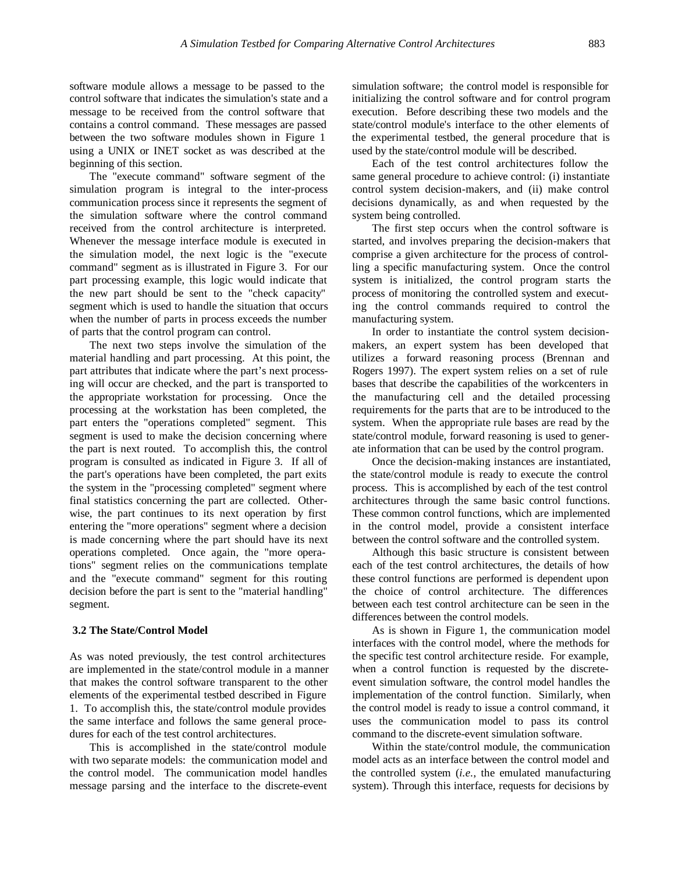software module allows a message to be passed to the control software that indicates the simulation's state and a message to be received from the control software that contains a control command. These messages are passed between the two software modules shown in Figure 1 using a UNIX or INET socket as was described at the beginning of this section.

The "execute command" software segment of the simulation program is integral to the inter-process communication process since it represents the segment of the simulation software where the control command received from the control architecture is interpreted. Whenever the message interface module is executed in the simulation model, the next logic is the "execute command" segment as is illustrated in Figure 3. For our part processing example, this logic would indicate that the new part should be sent to the "check capacity" segment which is used to handle the situation that occurs when the number of parts in process exceeds the number of parts that the control program can control.

The next two steps involve the simulation of the material handling and part processing. At this point, the part attributes that indicate where the part's next processing will occur are checked, and the part is transported to the appropriate workstation for processing. Once the processing at the workstation has been completed, the part enters the "operations completed" segment. This segment is used to make the decision concerning where the part is next routed. To accomplish this, the control program is consulted as indicated in Figure 3. If all of the part's operations have been completed, the part exits the system in the "processing completed" segment where final statistics concerning the part are collected. Otherwise, the part continues to its next operation by first entering the "more operations" segment where a decision is made concerning where the part should have its next operations completed. Once again, the "more operations" segment relies on the communications template and the "execute command" segment for this routing decision before the part is sent to the "material handling" segment.

### **3.2 The State/Control Model**

As was noted previously, the test control architectures are implemented in the state/control module in a manner that makes the control software transparent to the other elements of the experimental testbed described in Figure 1. To accomplish this, the state/control module provides the same interface and follows the same general procedures for each of the test control architectures.

This is accomplished in the state/control module with two separate models: the communication model and the control model. The communication model handles message parsing and the interface to the discrete-event

simulation software; the control model is responsible for initializing the control software and for control program execution. Before describing these two models and the state/control module's interface to the other elements of the experimental testbed, the general procedure that is used by the state/control module will be described.

Each of the test control architectures follow the same general procedure to achieve control: (i) instantiate control system decision-makers, and (ii) make control decisions dynamically, as and when requested by the system being controlled.

The first step occurs when the control software is started, and involves preparing the decision-makers that comprise a given architecture for the process of controlling a specific manufacturing system. Once the control system is initialized, the control program starts the process of monitoring the controlled system and executing the control commands required to control the manufacturing system.

In order to instantiate the control system decisionmakers, an expert system has been developed that utilizes a forward reasoning process (Brennan and Rogers 1997). The expert system relies on a set of rule bases that describe the capabilities of the workcenters in the manufacturing cell and the detailed processing requirements for the parts that are to be introduced to the system. When the appropriate rule bases are read by the state/control module, forward reasoning is used to generate information that can be used by the control program.

Once the decision-making instances are instantiated, the state/control module is ready to execute the control process. This is accomplished by each of the test control architectures through the same basic control functions. These common control functions, which are implemented in the control model, provide a consistent interface between the control software and the controlled system.

Although this basic structure is consistent between each of the test control architectures, the details of how these control functions are performed is dependent upon the choice of control architecture. The differences between each test control architecture can be seen in the differences between the control models.

As is shown in Figure 1, the communication model interfaces with the control model, where the methods for the specific test control architecture reside. For example, when a control function is requested by the discreteevent simulation software, the control model handles the implementation of the control function. Similarly, when the control model is ready to issue a control command, it uses the communication model to pass its control command to the discrete-event simulation software.

Within the state/control module, the communication model acts as an interface between the control model and the controlled system (*i.e.*, the emulated manufacturing system). Through this interface, requests for decisions by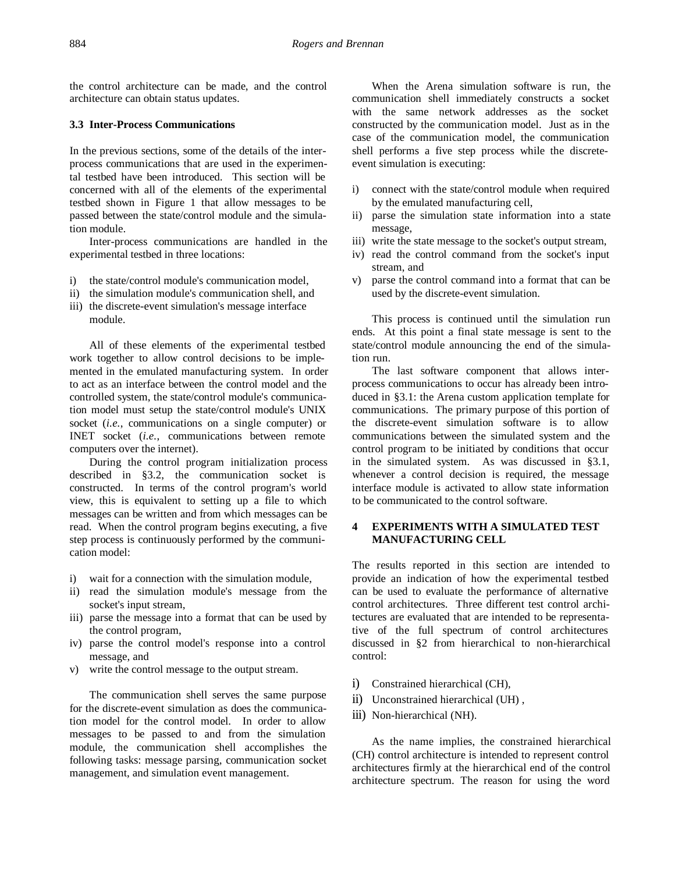the control architecture can be made, and the control architecture can obtain status updates.

### **3.3 Inter-Process Communications**

In the previous sections, some of the details of the interprocess communications that are used in the experimental testbed have been introduced. This section will be concerned with all of the elements of the experimental testbed shown in Figure 1 that allow messages to be passed between the state/control module and the simulation module.

Inter-process communications are handled in the experimental testbed in three locations:

- i) the state/control module's communication model,
- ii) the simulation module's communication shell, and
- iii) the discrete-event simulation's message interface module.

All of these elements of the experimental testbed work together to allow control decisions to be implemented in the emulated manufacturing system. In order to act as an interface between the control model and the controlled system, the state/control module's communication model must setup the state/control module's UNIX socket (*i.e.*, communications on a single computer) or INET socket (*i.e.*, communications between remote computers over the internet).

During the control program initialization process described in §3.2, the communication socket is constructed. In terms of the control program's world view, this is equivalent to setting up a file to which messages can be written and from which messages can be read. When the control program begins executing, a five step process is continuously performed by the communication model:

- i) wait for a connection with the simulation module,
- ii) read the simulation module's message from the socket's input stream,
- iii) parse the message into a format that can be used by the control program,
- iv) parse the control model's response into a control message, and
- v) write the control message to the output stream.

The communication shell serves the same purpose for the discrete-event simulation as does the communication model for the control model. In order to allow messages to be passed to and from the simulation module, the communication shell accomplishes the following tasks: message parsing, communication socket management, and simulation event management.

When the Arena simulation software is run, the communication shell immediately constructs a socket with the same network addresses as the socket constructed by the communication model. Just as in the case of the communication model, the communication shell performs a five step process while the discreteevent simulation is executing:

- i) connect with the state/control module when required by the emulated manufacturing cell,
- ii) parse the simulation state information into a state message,
- iii) write the state message to the socket's output stream,
- iv) read the control command from the socket's input stream, and
- v) parse the control command into a format that can be used by the discrete-event simulation.

This process is continued until the simulation run ends. At this point a final state message is sent to the state/control module announcing the end of the simulation run.

The last software component that allows interprocess communications to occur has already been introduced in §3.1: the Arena custom application template for communications. The primary purpose of this portion of the discrete-event simulation software is to allow communications between the simulated system and the control program to be initiated by conditions that occur in the simulated system. As was discussed in §3.1, whenever a control decision is required, the message interface module is activated to allow state information to be communicated to the control software.

# **4 EXPERIMENTS WITH A SIMULATED TEST MANUFACTURING CELL**

The results reported in this section are intended to provide an indication of how the experimental testbed can be used to evaluate the performance of alternative control architectures. Three different test control architectures are evaluated that are intended to be representative of the full spectrum of control architectures discussed in §2 from hierarchical to non-hierarchical control:

- i) Constrained hierarchical (CH),
- ii) Unconstrained hierarchical (UH) ,
- iii) Non-hierarchical (NH).

As the name implies, the constrained hierarchical (CH) control architecture is intended to represent control architectures firmly at the hierarchical end of the control architecture spectrum. The reason for using the word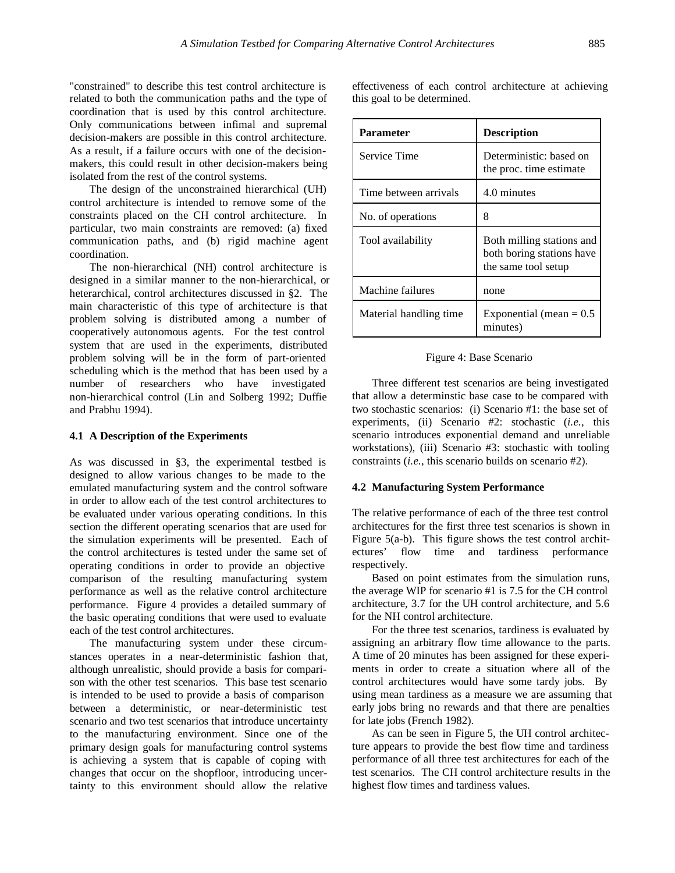"constrained" to describe this test control architecture is related to both the communication paths and the type of coordination that is used by this control architecture. Only communications between infimal and supremal decision-makers are possible in this control architecture. As a result, if a failure occurs with one of the decisionmakers, this could result in other decision-makers being isolated from the rest of the control systems.

The design of the unconstrained hierarchical (UH) control architecture is intended to remove some of the constraints placed on the CH control architecture. In particular, two main constraints are removed: (a) fixed communication paths, and (b) rigid machine agent coordination.

The non-hierarchical (NH) control architecture is designed in a similar manner to the non-hierarchical, or heterarchical, control architectures discussed in §2. The main characteristic of this type of architecture is that problem solving is distributed among a number of cooperatively autonomous agents. For the test control system that are used in the experiments, distributed problem solving will be in the form of part-oriented scheduling which is the method that has been used by a number of researchers who have investigated non-hierarchical control (Lin and Solberg 1992; Duffie and Prabhu 1994).

### **4.1 A Description of the Experiments**

As was discussed in §3, the experimental testbed is designed to allow various changes to be made to the emulated manufacturing system and the control software in order to allow each of the test control architectures to be evaluated under various operating conditions. In this section the different operating scenarios that are used for the simulation experiments will be presented. Each of the control architectures is tested under the same set of operating conditions in order to provide an objective comparison of the resulting manufacturing system performance as well as the relative control architecture performance. Figure 4 provides a detailed summary of the basic operating conditions that were used to evaluate each of the test control architectures.

The manufacturing system under these circumstances operates in a near-deterministic fashion that, although unrealistic, should provide a basis for comparison with the other test scenarios. This base test scenario is intended to be used to provide a basis of comparison between a deterministic, or near-deterministic test scenario and two test scenarios that introduce uncertainty to the manufacturing environment. Since one of the primary design goals for manufacturing control systems is achieving a system that is capable of coping with changes that occur on the shopfloor, introducing uncertainty to this environment should allow the relative

effectiveness of each control architecture at achieving this goal to be determined.

| Parameter               | <b>Description</b>                                                            |
|-------------------------|-------------------------------------------------------------------------------|
| Service Time            | Deterministic: based on<br>the proc. time estimate                            |
| Time between arrivals   | 4.0 minutes                                                                   |
| No. of operations       | 8                                                                             |
| Tool availability       | Both milling stations and<br>both boring stations have<br>the same tool setup |
| Machine failures        | none                                                                          |
| Material handling time. | Exponential (mean $= 0.5$<br>minutes)                                         |

#### Figure 4: Base Scenario

Three different test scenarios are being investigated that allow a determinstic base case to be compared with two stochastic scenarios: (i) Scenario #1: the base set of experiments, (ii) Scenario #2: stochastic (*i.e.*, this scenario introduces exponential demand and unreliable workstations), (iii) Scenario #3: stochastic with tooling constraints (*i.e.*, this scenario builds on scenario #2).

## **4.2 Manufacturing System Performance**

The relative performance of each of the three test control architectures for the first three test scenarios is shown in Figure  $5(a-b)$ . This figure shows the test control architectures' flow time and tardiness performance respectively.

Based on point estimates from the simulation runs, the average WIP for scenario #1 is 7.5 for the CH control architecture, 3.7 for the UH control architecture, and 5.6 for the NH control architecture.

For the three test scenarios, tardiness is evaluated by assigning an arbitrary flow time allowance to the parts. A time of 20 minutes has been assigned for these experiments in order to create a situation where all of the control architectures would have some tardy jobs. By using mean tardiness as a measure we are assuming that early jobs bring no rewards and that there are penalties for late jobs (French 1982).

As can be seen in Figure 5, the UH control architecture appears to provide the best flow time and tardiness performance of all three test architectures for each of the test scenarios. The CH control architecture results in the highest flow times and tardiness values.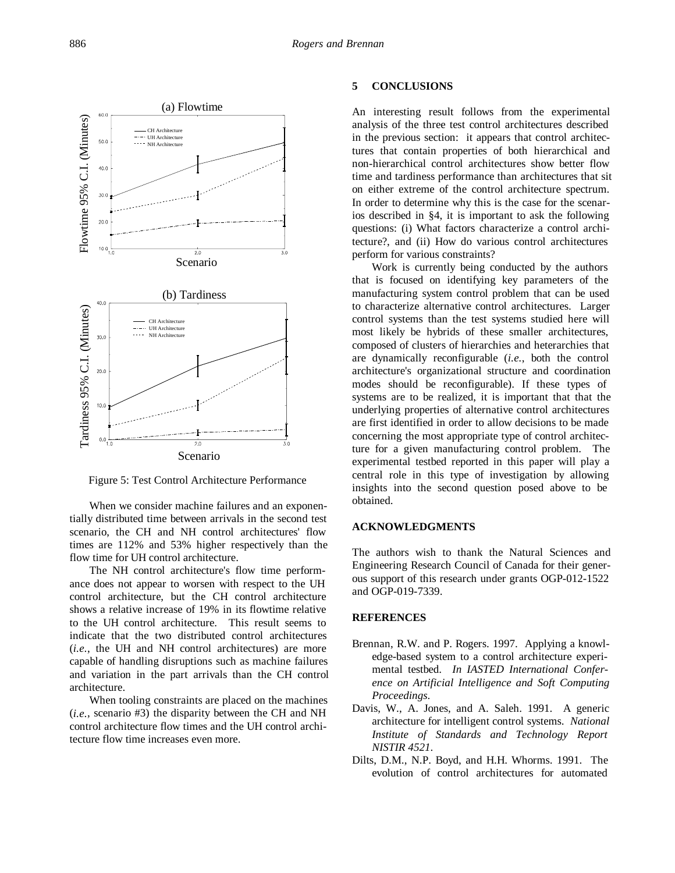

Figure 5: Test Control Architecture Performance

When we consider machine failures and an exponentially distributed time between arrivals in the second test scenario, the CH and NH control architectures' flow times are 112% and 53% higher respectively than the flow time for UH control architecture.

The NH control architecture's flow time performance does not appear to worsen with respect to the UH control architecture, but the CH control architecture shows a relative increase of 19% in its flowtime relative to the UH control architecture. This result seems to indicate that the two distributed control architectures (*i.e.*, the UH and NH control architectures) are more capable of handling disruptions such as machine failures and variation in the part arrivals than the CH control architecture.

When tooling constraints are placed on the machines (*i.e.*, scenario #3) the disparity between the CH and NH control architecture flow times and the UH control architecture flow time increases even more.

# **5 CONCLUSIONS**

An interesting result follows from the experimental analysis of the three test control architectures described in the previous section: it appears that control architectures that contain properties of both hierarchical and non-hierarchical control architectures show better flow time and tardiness performance than architectures that sit on either extreme of the control architecture spectrum. In order to determine why this is the case for the scenarios described in §4, it is important to ask the following questions: (i) What factors characterize a control architecture?, and (ii) How do various control architectures perform for various constraints?

Work is currently being conducted by the authors that is focused on identifying key parameters of the manufacturing system control problem that can be used to characterize alternative control architectures. Larger control systems than the test systems studied here will most likely be hybrids of these smaller architectures, composed of clusters of hierarchies and heterarchies that are dynamically reconfigurable (*i.e.*, both the control architecture's organizational structure and coordination modes should be reconfigurable). If these types of systems are to be realized, it is important that that the underlying properties of alternative control architectures are first identified in order to allow decisions to be made concerning the most appropriate type of control architecture for a given manufacturing control problem. The experimental testbed reported in this paper will play a central role in this type of investigation by allowing insights into the second question posed above to be obtained.

# **ACKNOWLEDGMENTS**

The authors wish to thank the Natural Sciences and Engineering Research Council of Canada for their generous support of this research under grants OGP-012-1522 and OGP-019-7339.

### **REFERENCES**

- Brennan, R.W. and P. Rogers. 1997. Applying a knowledge-based system to a control architecture experimental testbed. *In IASTED International Conference on Artificial Intelligence and Soft Computing Proceedings*.
- Davis, W., A. Jones, and A. Saleh. 1991. A generic architecture for intelligent control systems. *National Institute of Standards and Technology Report NISTIR 4521*.
- Dilts, D.M., N.P. Boyd, and H.H. Whorms. 1991. The evolution of control architectures for automated